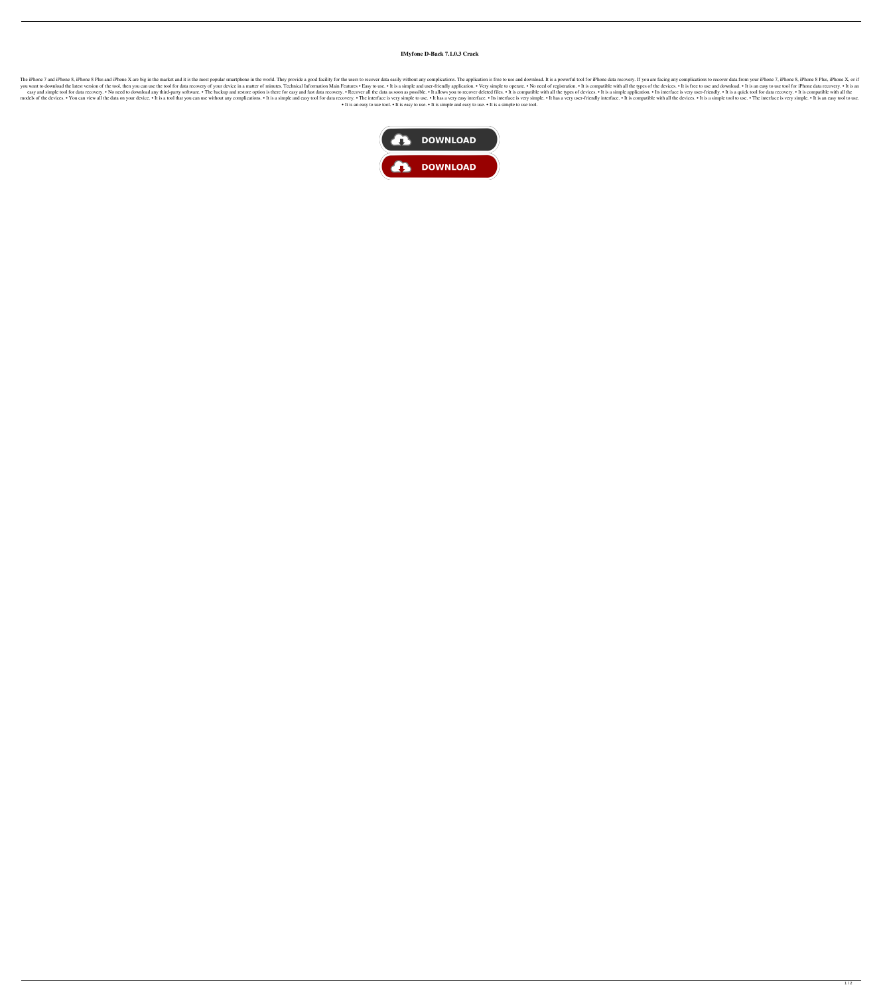## **IMyfone D-Back 7.1.0.3 Crack**

The iPhone 7 and iPhone 8. Plus and iPhone 8 Plus and iPhone 8 Plus and iPhone X are big in the market and it is the most popular smartphone in the world. They provide a good facility for the users to recover data a easily you want to download the latest version of the tool, then you can use the tool for data recovery of your device in a matter of minutes. Technical Information Main Features . It is a simple and user-friendly application. . easy and simple tool for data recovery. • No need to download any third-party software. • The backup and restore option is there for easy and fast data recovery. • Recover all the data as soon as possible. • It is a simple models of the devices. • You can view all the data on your device. • It is a tool that you can use without any complications. • It is a simple and easy tool for data recovery. • The interface is very simple. • It has a ver • It is an easy to use tool. • It is easy to use. • It is simple and easy to use. • It is a simple to use tool.



 $\overline{1/2}$